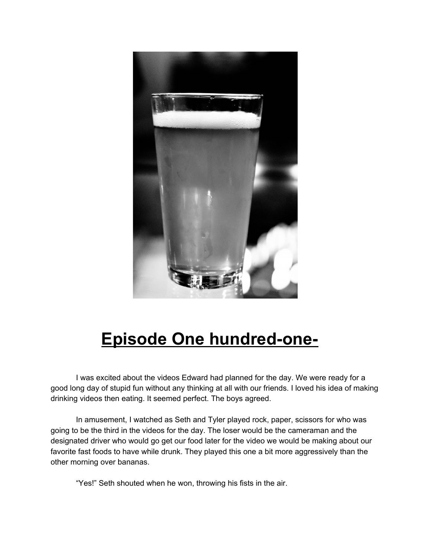

## **Episode One hundred-one-**

I was excited about the videos Edward had planned for the day. We were ready for a good long day of stupid fun without any thinking at all with our friends. I loved his idea of making drinking videos then eating. It seemed perfect. The boys agreed.

In amusement, I watched as Seth and Tyler played rock, paper, scissors for who was going to be the third in the videos for the day. The loser would be the cameraman and the designated driver who would go get our food later for the video we would be making about our favorite fast foods to have while drunk. They played this one a bit more aggressively than the other morning over bananas.

"Yes!" Seth shouted when he won, throwing his fists in the air.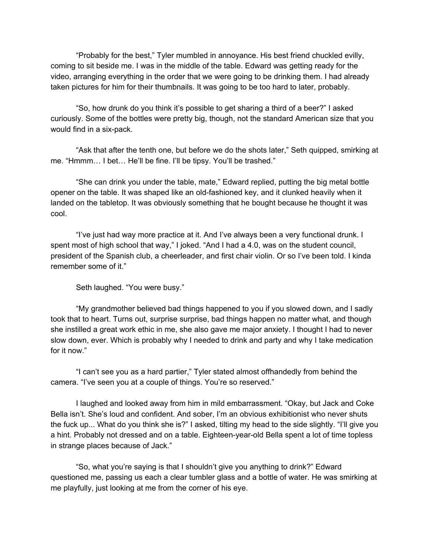"Probably for the best," Tyler mumbled in annoyance. His best friend chuckled evilly, coming to sit beside me. I was in the middle of the table. Edward was getting ready for the video, arranging everything in the order that we were going to be drinking them. I had already taken pictures for him for their thumbnails. It was going to be too hard to later, probably.

"So, how drunk do you think it's possible to get sharing a third of a beer?" I asked curiously. Some of the bottles were pretty big, though, not the standard American size that you would find in a six-pack.

"Ask that after the tenth one, but before we do the shots later," Seth quipped, smirking at me. "Hmmm… I bet… He'll be fine. I'll be tipsy. You'll be trashed."

"She can drink you under the table, mate," Edward replied, putting the big metal bottle opener on the table. It was shaped like an old-fashioned key, and it clunked heavily when it landed on the tabletop. It was obviously something that he bought because he thought it was cool.

"I've just had way more practice at it. And I've always been a very functional drunk. I spent most of high school that way," I joked. "And I had a 4.0, was on the student council, president of the Spanish club, a cheerleader, and first chair violin. Or so I've been told. I kinda remember some of it."

Seth laughed. "You were busy."

"My grandmother believed bad things happened to you if you slowed down, and I sadly took that to heart. Turns out, surprise surprise, bad things happen no matter what, and though she instilled a great work ethic in me, she also gave me major anxiety. I thought I had to never slow down, ever. Which is probably why I needed to drink and party and why I take medication for it now."

"I can't see you as a hard partier," Tyler stated almost offhandedly from behind the camera. "I've seen you at a couple of things. You're so reserved."

I laughed and looked away from him in mild embarrassment. "Okay, but Jack and Coke Bella isn't. She's loud and confident. And sober, I'm an obvious exhibitionist who never shuts the fuck up... What do you think she is?" I asked, tilting my head to the side slightly. "I'll give you a hint. Probably not dressed and on a table. Eighteen-year-old Bella spent a lot of time topless in strange places because of Jack."

"So, what you're saying is that I shouldn't give you anything to drink?" Edward questioned me, passing us each a clear tumbler glass and a bottle of water. He was smirking at me playfully, just looking at me from the corner of his eye.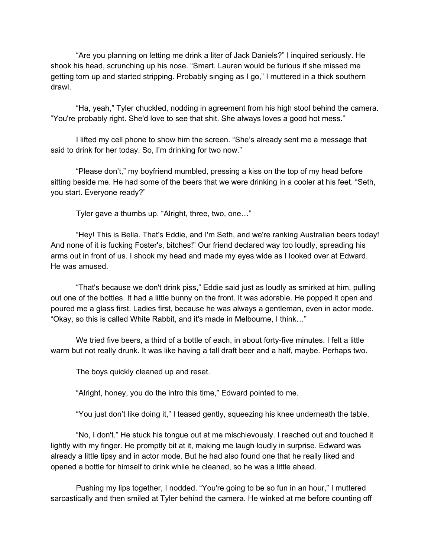"Are you planning on letting me drink a liter of Jack Daniels?" I inquired seriously. He shook his head, scrunching up his nose. "Smart. Lauren would be furious if she missed me getting torn up and started stripping. Probably singing as I go," I muttered in a thick southern drawl.

"Ha, yeah," Tyler chuckled, nodding in agreement from his high stool behind the camera. "You're probably right. She'd love to see that shit. She always loves a good hot mess."

I lifted my cell phone to show him the screen. "She's already sent me a message that said to drink for her today. So, I'm drinking for two now."

"Please don't," my boyfriend mumbled, pressing a kiss on the top of my head before sitting beside me. He had some of the beers that we were drinking in a cooler at his feet. "Seth, you start. Everyone ready?"

Tyler gave a thumbs up. "Alright, three, two, one…"

"Hey! This is Bella. That's Eddie, and I'm Seth, and we're ranking Australian beers today! And none of it is fucking Foster's, bitches!" Our friend declared way too loudly, spreading his arms out in front of us. I shook my head and made my eyes wide as I looked over at Edward. He was amused.

"That's because we don't drink piss," Eddie said just as loudly as smirked at him, pulling out one of the bottles. It had a little bunny on the front. It was adorable. He popped it open and poured me a glass first. Ladies first, because he was always a gentleman, even in actor mode. "Okay, so this is called White Rabbit, and it's made in Melbourne, I think…"

We tried five beers, a third of a bottle of each, in about forty-five minutes. I felt a little warm but not really drunk. It was like having a tall draft beer and a half, maybe. Perhaps two.

The boys quickly cleaned up and reset.

"Alright, honey, you do the intro this time," Edward pointed to me.

"You just don't like doing it," I teased gently, squeezing his knee underneath the table.

"No, I don't." He stuck his tongue out at me mischievously. I reached out and touched it lightly with my finger. He promptly bit at it, making me laugh loudly in surprise. Edward was already a little tipsy and in actor mode. But he had also found one that he really liked and opened a bottle for himself to drink while he cleaned, so he was a little ahead.

Pushing my lips together, I nodded. "You're going to be so fun in an hour," I muttered sarcastically and then smiled at Tyler behind the camera. He winked at me before counting off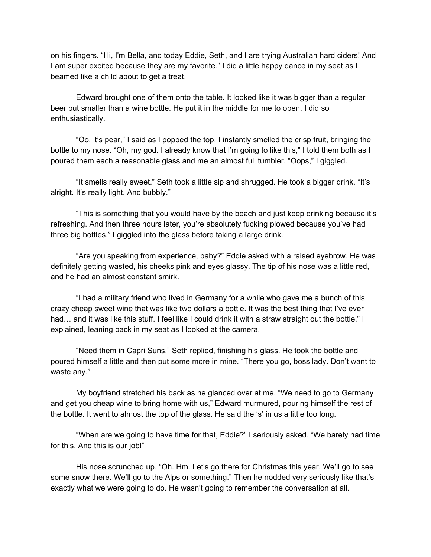on his fingers. "Hi, I'm Bella, and today Eddie, Seth, and I are trying Australian hard ciders! And I am super excited because they are my favorite." I did a little happy dance in my seat as I beamed like a child about to get a treat.

Edward brought one of them onto the table. It looked like it was bigger than a regular beer but smaller than a wine bottle. He put it in the middle for me to open. I did so enthusiastically.

"Oo, it's pear," I said as I popped the top. I instantly smelled the crisp fruit, bringing the bottle to my nose. "Oh, my god. I already know that I'm going to like this," I told them both as I poured them each a reasonable glass and me an almost full tumbler. "Oops," I giggled.

"It smells really sweet." Seth took a little sip and shrugged. He took a bigger drink. "It's alright. It's really light. And bubbly."

"This is something that you would have by the beach and just keep drinking because it's refreshing. And then three hours later, you're absolutely fucking plowed because you've had three big bottles," I giggled into the glass before taking a large drink.

"Are you speaking from experience, baby?" Eddie asked with a raised eyebrow. He was definitely getting wasted, his cheeks pink and eyes glassy. The tip of his nose was a little red, and he had an almost constant smirk.

"I had a military friend who lived in Germany for a while who gave me a bunch of this crazy cheap sweet wine that was like two dollars a bottle. It was the best thing that I've ever had... and it was like this stuff. I feel like I could drink it with a straw straight out the bottle," I explained, leaning back in my seat as I looked at the camera.

"Need them in Capri Suns," Seth replied, finishing his glass. He took the bottle and poured himself a little and then put some more in mine. "There you go, boss lady. Don't want to waste any."

My boyfriend stretched his back as he glanced over at me. "We need to go to Germany and get you cheap wine to bring home with us," Edward murmured, pouring himself the rest of the bottle. It went to almost the top of the glass. He said the 's' in us a little too long.

"When are we going to have time for that, Eddie?" I seriously asked. "We barely had time for this. And this is our job!"

His nose scrunched up. "Oh. Hm. Let's go there for Christmas this year. We'll go to see some snow there. We'll go to the Alps or something." Then he nodded very seriously like that's exactly what we were going to do. He wasn't going to remember the conversation at all.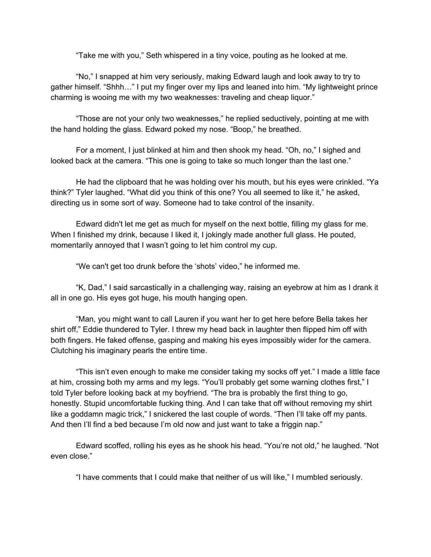"Take me with you," Seth whispered in a tiny voice, pouting as he looked at me.

"No," I snapped at him very seriously, making Edward laugh and look away to try to gather himself. "Shhh…" I put my finger over my lips and leaned into him. "My lightweight prince charming is wooing me with my two weaknesses: traveling and cheap liquor."

"Those are not your only two weaknesses," he replied seductively, pointing at me with the hand holding the glass. Edward poked my nose. "Boop," he breathed.

For a moment, I just blinked at him and then shook my head. "Oh, no," I sighed and looked back at the camera. "This one is going to take so much longer than the last one."

He had the clipboard that he was holding over his mouth, but his eyes were crinkled. "Ya think?" Tyler laughed. "What did you think of this one? You all seemed to like it," he asked, directing us in some sort of way. Someone had to take control of the insanity.

Edward didn't let me get as much for myself on the next bottle, filling my glass for me. When I finished my drink, because I liked it, I jokingly made another full glass. He pouted, momentarily annoyed that I wasn't going to let him control my cup.

"We can't get too drunk before the 'shots' video," he informed me.

"K, Dad," I said sarcastically in a challenging way, raising an eyebrow at him as I drank it all in one go. His eyes got huge, his mouth hanging open.

"Man, you might want to call Lauren if you want her to get here before Bella takes her shirt off," Eddie thundered to Tyler. I threw my head back in laughter then flipped him off with both fingers. He faked offense, gasping and making his eyes impossibly wider for the camera. Clutching his imaginary pearls the entire time.

"This isn't even enough to make me consider taking my socks off yet." I made a little face at him, crossing both my arms and my legs. "You'll probably get some warning clothes first," I told Tyler before looking back at my boyfriend. "The bra is probably the first thing to go, honestly. Stupid uncomfortable fucking thing. And I can take that off without removing my shirt like a goddamn magic trick," I snickered the last couple of words. "Then I'll take off my pants. And then I'll find a bed because I'm old now and just want to take a friggin nap."

Edward scoffed, rolling his eyes as he shook his head. "You're not old," he laughed. "Not even close."

"I have comments that I could make that neither of us will like," I mumbled seriously.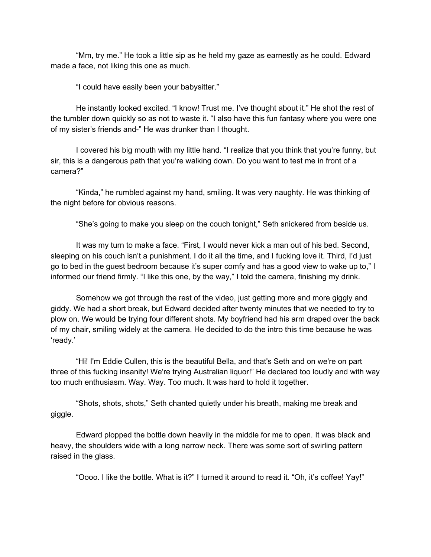"Mm, try me." He took a little sip as he held my gaze as earnestly as he could. Edward made a face, not liking this one as much.

"I could have easily been your babysitter."

He instantly looked excited. "I know! Trust me. I've thought about it." He shot the rest of the tumbler down quickly so as not to waste it. "I also have this fun fantasy where you were one of my sister's friends and-" He was drunker than I thought.

I covered his big mouth with my little hand. "I realize that you think that you're funny, but sir, this is a dangerous path that you're walking down. Do you want to test me in front of a camera?"

"Kinda," he rumbled against my hand, smiling. It was very naughty. He was thinking of the night before for obvious reasons.

"She's going to make you sleep on the couch tonight," Seth snickered from beside us.

It was my turn to make a face. "First, I would never kick a man out of his bed. Second, sleeping on his couch isn't a punishment. I do it all the time, and I fucking love it. Third, I'd just go to bed in the guest bedroom because it's super comfy and has a good view to wake up to," I informed our friend firmly. "I like this one, by the way," I told the camera, finishing my drink.

Somehow we got through the rest of the video, just getting more and more giggly and giddy. We had a short break, but Edward decided after twenty minutes that we needed to try to plow on. We would be trying four different shots. My boyfriend had his arm draped over the back of my chair, smiling widely at the camera. He decided to do the intro this time because he was 'ready.'

"Hi! I'm Eddie Cullen, this is the beautiful Bella, and that's Seth and on we're on part three of this fucking insanity! We're trying Australian liquor!" He declared too loudly and with way too much enthusiasm. Way. Way. Too much. It was hard to hold it together.

"Shots, shots, shots," Seth chanted quietly under his breath, making me break and giggle.

Edward plopped the bottle down heavily in the middle for me to open. It was black and heavy, the shoulders wide with a long narrow neck. There was some sort of swirling pattern raised in the glass.

"Oooo. I like the bottle. What is it?" I turned it around to read it. "Oh, it's coffee! Yay!"